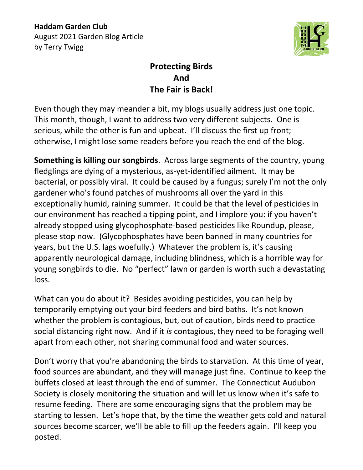**Haddam Garden Club** August 2021 Garden Blog Article by Terry Twigg



## **Protecting Birds And The Fair is Back!**

Even though they may meander a bit, my blogs usually address just one topic. This month, though, I want to address two very different subjects. One is serious, while the other is fun and upbeat. I'll discuss the first up front; otherwise, I might lose some readers before you reach the end of the blog.

**Something is killing our songbirds**. Across large segments of the country, young fledglings are dying of a mysterious, as-yet-identified ailment. It may be bacterial, or possibly viral. It could be caused by a fungus; surely I'm not the only gardener who's found patches of mushrooms all over the yard in this exceptionally humid, raining summer. It could be that the level of pesticides in our environment has reached a tipping point, and I implore you: if you haven't already stopped using glycophosphate-based pesticides like Roundup, please, please stop now. (Glycophosphates have been banned in many countries for years, but the U.S. lags woefully.) Whatever the problem is, it's causing apparently neurological damage, including blindness, which is a horrible way for young songbirds to die. No "perfect" lawn or garden is worth such a devastating loss.

What can you do about it? Besides avoiding pesticides, you can help by temporarily emptying out your bird feeders and bird baths. It's not known whether the problem is contagious, but, out of caution, birds need to practice social distancing right now. And if it *is* contagious, they need to be foraging well apart from each other, not sharing communal food and water sources.

Don't worry that you're abandoning the birds to starvation. At this time of year, food sources are abundant, and they will manage just fine. Continue to keep the buffets closed at least through the end of summer. The Connecticut Audubon Society is closely monitoring the situation and will let us know when it's safe to resume feeding. There are some encouraging signs that the problem may be starting to lessen. Let's hope that, by the time the weather gets cold and natural sources become scarcer, we'll be able to fill up the feeders again. I'll keep you posted.